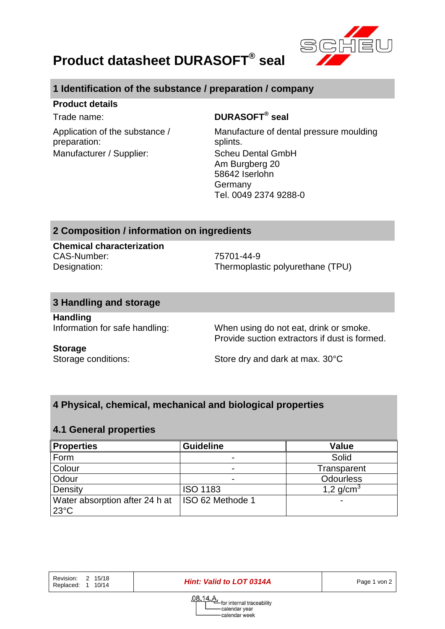

# **Product datasheet DURASOFT® seal**

## **1 Identification of the substance / preparation / company**

#### **Product details**

Application of the substance / preparation: Manufacturer / Supplier: Scheu Dental GmbH

## Trade name: **DURASOFT® seal**

Manufacture of dental pressure moulding splints. Am Burgberg 20 58642 Iserlohn Germany Tel. 0049 2374 9288-0

## **2 Composition / information on ingredients**

**Chemical characterization** CAS-Number: 75701-44-9

Designation: Thermoplastic polyurethane (TPU)

## **3 Handling and storage**

**Handling**

Information for safe handling: When using do not eat, drink or smoke. Provide suction extractors if dust is formed.

#### **Storage**

Storage conditions: Store dry and dark at max. 30°C

# **4 Physical, chemical, mechanical and biological properties**

## **4.1 General properties**

| <b>Properties</b>                                | <b>Guideline</b> | Value            |
|--------------------------------------------------|------------------|------------------|
| Form                                             |                  | Solid            |
| Colour                                           |                  | Transparent      |
| Odour                                            |                  | <b>Odourless</b> |
| Density                                          | <b>ISO 1183</b>  | 1,2 $q/cm^{3}$   |
| Water absorption after 24 h at<br>$23^{\circ}$ C | ISO 62 Methode 1 |                  |

Revision: 2 15/18 Replaced: 1 10/14

*Hint: Valid to LOT 0314A* Page 1 von 2